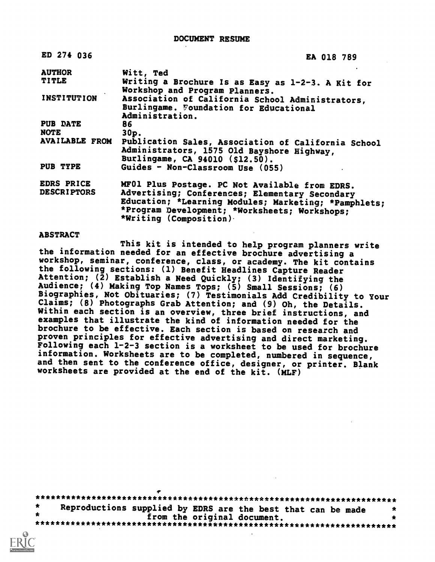| ED 274 036            | <b>EA 018 789</b>                                                                                                                                                                  |
|-----------------------|------------------------------------------------------------------------------------------------------------------------------------------------------------------------------------|
| <b>AUTHOR</b>         | Witt, Ted                                                                                                                                                                          |
| <b>TITLE</b>          | Writing a Brochure Is as Easy as 1-2-3. A Kit for<br>Workshop and Program Planners.                                                                                                |
| <b>INSTITUTION</b>    | Association of California School Administrators,<br>Burlingame. Foundation for Educational<br>Administration.                                                                      |
| <b>PUB DATE</b>       | 86                                                                                                                                                                                 |
| <b>NOTE</b>           | $30p$ .                                                                                                                                                                            |
| <b>AVAILABLE FROM</b> | Publication Sales, Association of California School<br>Administrators, 1575 Old Bayshore Highway,<br>Burlingame, CA 94010 (\$12.50).                                               |
| PUB TYPE              | Guides - Non-Classroom Use (055)                                                                                                                                                   |
| <b>EDRS PRICE</b>     | MF01 Plus Postage. PC Not Available from EDRS.                                                                                                                                     |
| <b>DESCRIPTORS</b>    | Advertising; Conferences; Elementary Secondary<br>Education; *Learning Modules; Marketing; *Pamphlets;<br>*Program Development; *Worksheets; Workshops;<br>*Writing (Composition). |

#### ABSTRACT

This kit is intended to help program planners write the information needed for an effective brochure advertising a workshop, seminar, conference, class, or academy. The kit contains the following sections: (1) Benefit Headlines Capture Reader Attention;  $(\bar{2})$  Establish a Need Quickly; (3) Identifying the Audience; (4) Making Top Names Tops; (5) Small Sessions; (6) Biographies, Not Obituaries; (7) Testimonials Add Credibility to Your Claims; (8) Photographs Grab Attention; and (9) Oh, the Details. Within each section is an overview, three brief instructions, and examples that illustrate the kind of information needed for the brochure to be effective. Each section is based on research and proven principles for effective advertising and direct marketing. Following each 1-2-3 section is a worksheet to be used for brochure<br>information. Worksheets are to be completed, numbered in sequence, and then sent to the conference office, designer, or printer. Blank worksheets are provided at the end of the kit. (MLF)

| Reproductions supplied by EDRS are the best that can be made |  |                             |  |  | × |
|--------------------------------------------------------------|--|-----------------------------|--|--|---|
|                                                              |  |                             |  |  |   |
|                                                              |  | from the original document. |  |  |   |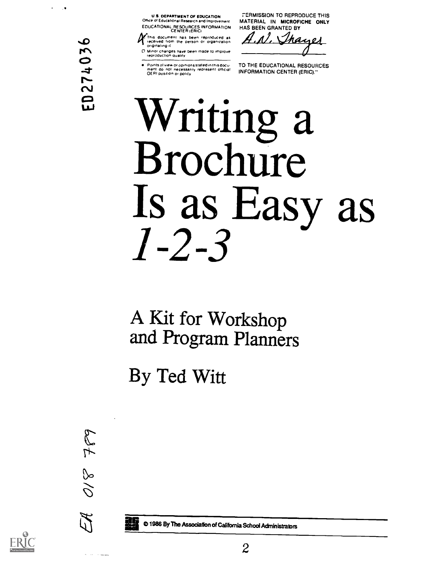U.S. DEPARTMENT OF EDUCATION ORDER OF EDUCATION

EOUCATIONAL RESOURCES INFORMATION CENTER IERIC)

k:This document has been reproduced as received from the person Or organization originating it

0 Minor changes have been made to improve reproduction clualdV

Points of view or opinions stated in this doculic in TO-TI<br>ment ido inot inecessarily represent official in INFO<br>OERI position or policy

rERMISSION TO REPRODUCE THIS MATERIAL IN MICROFICHE ONLY HAS BEEN GRANTED BY

N. Thayes

TO THE EDUCATIONAL RESOURCES INFORMATION CENTER (ERIC)."

# Writing a Brochure Is as Easy as 1-2-3

A Kit for Workshop and Program Planners

By Ted Witt



**Service Community** 

 $\overline{\phantom{a}}$ 

ED274036

0 1986 By The Association of California SchoolAdministrabrs

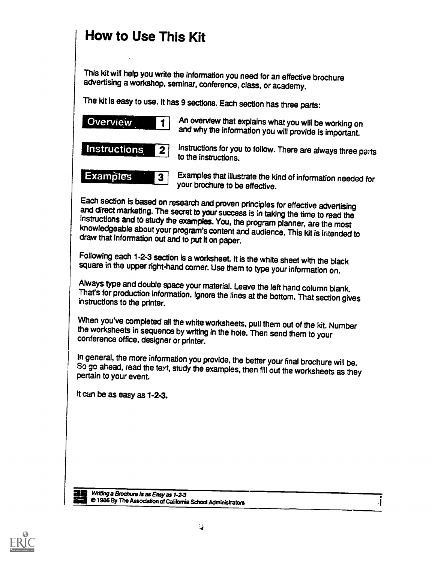### How to Use This Kit

This kit will help you write the information you need for an effective brochure advertising a workshop, seminar, conference, class, or academy.

The kit is easy to use. It has 9 sections. Each section has three parts:

| <b>Overview</b>     | An overview that explains what you will be working on                             |
|---------------------|-----------------------------------------------------------------------------------|
| l 1                 | and why the information you will provide is important.                            |
| <b>Instructions</b> | Instructions for you to follow. There are always three parts                      |
| l 2                 | to the instructions.                                                              |
| <b>Examples</b>     | Examples that illustrate the kind of information needed for                       |
| $\boldsymbol{3}$    | your brochure to be effective.                                                    |
|                     | Each section is based on research and proven principles for effective advertising |

and direct marketing. The secret to your success is in taking the time to read the instructions and to study the examples. You, the program planner, are the most knowledgeable about your program's content and audience. Thi

Following each 1-2-3 section is a worksheet. It is the white sheet with the black square in the upper right-hand corner. Use them to type your information on.

Always type and double space your material. Leave the left hand column blank.<br>That's for production information. Ignore the lines at the bottom. That section gives instructions to the printer.

When you've completed all the white worksheets, pull them out of the kit. Number the worksheets in sequence by writing in the hole. Then send them to your conference office, designer or printer.

In general, the more information you provide, the better your final brochure will be.<br>So go ahead, read the text, study the examples, then fill out the worksheets as they pertain to your event.

It can be as easy as 1-2-3.

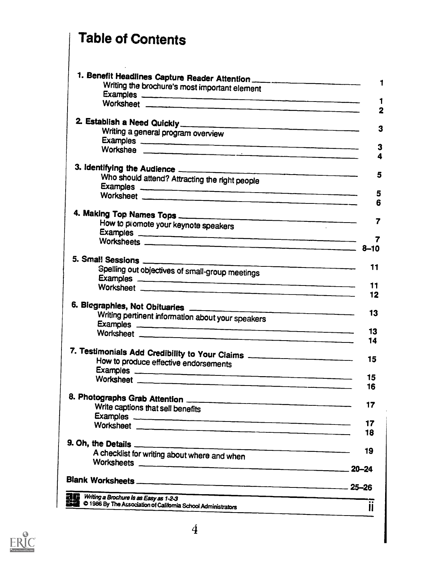### Table of Contents

 $\hat{\mathcal{A}}$ 

| 1. Benefit Headlines Capture Reader Attention                                    |                              |
|----------------------------------------------------------------------------------|------------------------------|
| Writing the brochure's most important element                                    | 1                            |
| Examples                                                                         |                              |
|                                                                                  | 1<br>$\overline{\mathbf{2}}$ |
|                                                                                  |                              |
|                                                                                  | 3                            |
| Writing a general program overview                                               |                              |
| Examples                                                                         | 3                            |
|                                                                                  | 4                            |
|                                                                                  |                              |
| Who should attend? Attracting the right people                                   | 5                            |
| Examples <b>examples</b>                                                         |                              |
|                                                                                  | 5                            |
|                                                                                  | 6                            |
| 4. Making Top Names Tops                                                         |                              |
| How to promote your keynote speakers                                             | 7                            |
| Examples <b>examples</b>                                                         |                              |
|                                                                                  | 7                            |
|                                                                                  |                              |
|                                                                                  | 11                           |
| Spelling out objectives of small-group meetings                                  |                              |
| Worksheet __________________                                                     | 11                           |
|                                                                                  | 12                           |
|                                                                                  |                              |
| Writing pertinent information about your speakers                                | 13                           |
|                                                                                  |                              |
| Examples<br>Worksheet                                                            | 13                           |
|                                                                                  | 14                           |
| 7. Testimonials Add Credibility to Your Ciaims _________________________________ |                              |
| How to produce effective endorsements                                            | 15                           |
|                                                                                  |                              |
|                                                                                  | 15                           |
|                                                                                  | 16                           |
|                                                                                  |                              |
| Write captions that sell benefits                                                | 17                           |
|                                                                                  |                              |
|                                                                                  | 17                           |
|                                                                                  | 18                           |
|                                                                                  | 19                           |
| A checklist for writing about where and when                                     |                              |
|                                                                                  |                              |
|                                                                                  |                              |
|                                                                                  |                              |
| Writing a Brochure Is as Easy as 1-2-3                                           |                              |
| <b>SEE</b> © 1986 By The Association of California School Administrators         | $\mathbf{II}$                |
|                                                                                  |                              |

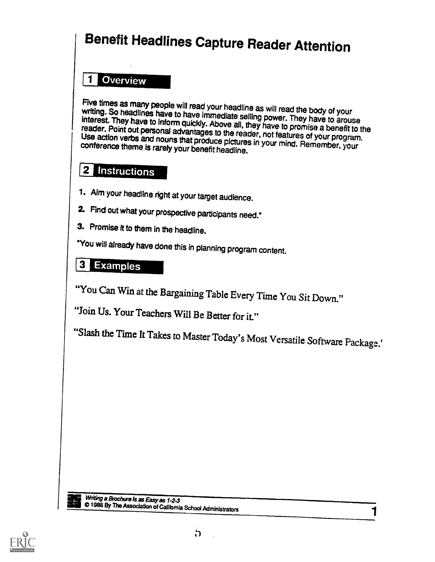## Benefit Headlines Capture Reader Attention

### 1 Overview

Five times as many people will read your headline as will read the body of your<br>writing. So headlines have to have immediate selling power. They have to arouse<br>interest. They have to inform quickly. Above all, they have to reader. Point out personal advantages to the reader, not features of your program.<br>Use action verbs and nouns that produce pictures in your mind. Remember, your<br>conference theme is rarely your benefit headline. Use action verbs and nouns that produce pictures in your mind. Remember, your

### 2 Instructions

- 1. Aim your headline right at your target audience.
- 2. Find out what your prospective participants need.\*
- 3. Promise it to them in the headline.

\*You will already have done this in planning program content.

### 3 Examples

"You Can Win at the Bargaining Table Every Time You Sit Down."

"Join Us. Your Teachers Will Be Better for it."

"Slash the Time It Takes to Master Today's Most Versatile Software Package.'



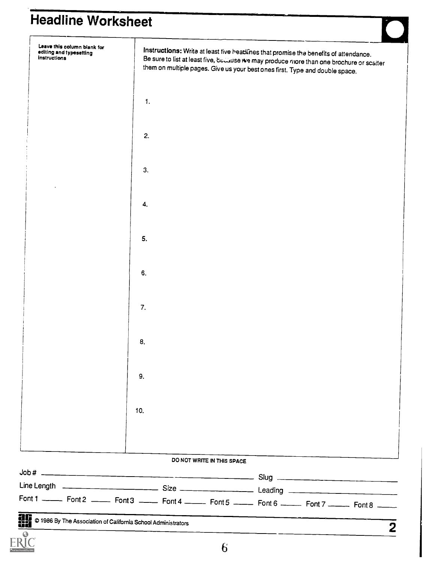### Headline Worksheet

| Font 1 ______ Font 2 ______ Font 3 _____ Font 4 ______ Font 5 ______ Font 6 ______ Font 7 ______ Font 8 _____ |                |                            |                                                                                                                                                                         |  |
|---------------------------------------------------------------------------------------------------------------|----------------|----------------------------|-------------------------------------------------------------------------------------------------------------------------------------------------------------------------|--|
|                                                                                                               |                |                            |                                                                                                                                                                         |  |
|                                                                                                               |                | DO NOT WRITE IN THIS SPACE |                                                                                                                                                                         |  |
|                                                                                                               |                |                            |                                                                                                                                                                         |  |
|                                                                                                               |                |                            |                                                                                                                                                                         |  |
|                                                                                                               | 10.            |                            |                                                                                                                                                                         |  |
|                                                                                                               |                |                            |                                                                                                                                                                         |  |
|                                                                                                               | 9.             |                            |                                                                                                                                                                         |  |
|                                                                                                               | 8.             |                            |                                                                                                                                                                         |  |
|                                                                                                               |                |                            |                                                                                                                                                                         |  |
|                                                                                                               | 7.             |                            |                                                                                                                                                                         |  |
|                                                                                                               |                |                            |                                                                                                                                                                         |  |
|                                                                                                               | 6.             |                            |                                                                                                                                                                         |  |
|                                                                                                               | 5.             |                            |                                                                                                                                                                         |  |
|                                                                                                               |                |                            |                                                                                                                                                                         |  |
|                                                                                                               | 4.             |                            |                                                                                                                                                                         |  |
|                                                                                                               | 3.             |                            |                                                                                                                                                                         |  |
|                                                                                                               |                |                            |                                                                                                                                                                         |  |
|                                                                                                               | 2.             |                            |                                                                                                                                                                         |  |
|                                                                                                               | $\mathbf{1}$ . |                            |                                                                                                                                                                         |  |
|                                                                                                               |                |                            |                                                                                                                                                                         |  |
| instructions                                                                                                  |                |                            | Be sure to list at least five, because we may produce more than one brochure or scatter<br>them on multiple pages. Give us your best ones first. Type and double space. |  |
| Leave this column blank for<br>editing and typesetting                                                        |                |                            | Instructions: Write at least five beadlines that promise the benefits of attendance.                                                                                    |  |

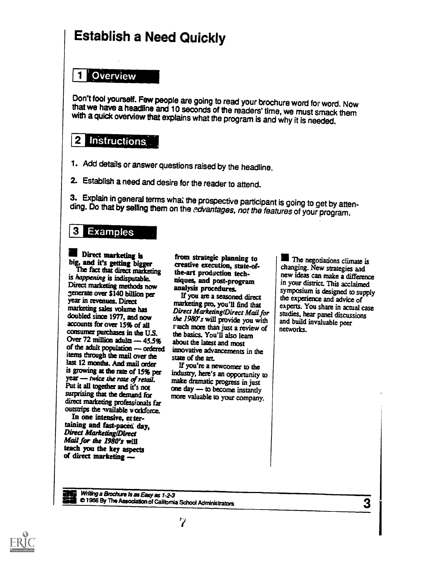### Establish a Need Quickly

#### **El Overview**

Don't fool yourself. Few people are going to read your brochure word for word. Now that we have a headline and 10 seconds of the readers' time, we must smack them with a quick overview that explains what the program is and

#### 2 Instructions

- 1. Add details or answer questions raised by the headline.
- 2. Establish a need and desire for the reader to attend.

3. Explain in general terms what the prospective participant is going to get by atten-<br>ding. Do that by selling them on the *edvantages, not the features* of your program.

#### **3 Examples**

### **and** Direct marketing is big, and it's getting bigger

is happening is indisputable. Direct marketing methods now generate over \$140 billion per year in revenues. Direct marketing sales volume has doubled since 1977, and now accounts for over 15% of all consumer purchases in the U.S. Over 72 million adults  $-45.5%$ of the adult population - ordered items through the mail over the last 12 months. And mail order is growing at the rate of 15% per year — twice the rate of retail. make dramatic progress in just Put it all together and it's not surprising that the demand for direct marketing professionals far outstrips the wailable workforce.

In one intensive, en tertaining and fast-paced day, Direct Marketing/Direct Mail for the 1980's will teach you the key aspects of direct marketing

The fact that direct marketing the-art production techfrom strategic planning to creative execution, state-ofniques, and post-program analysis procedures.

If you are a seasoned direct marketing pro, you'll find that Direct MarketinglDirect Mail for the 1980's will provide you with r auch more than just a review of the basics. You'll also learn about the latest and most innovative advancements in the state of the art.

If you're a newcomer to the industry, here's an opportunity to one day - to become instantly more valuable to your company.

The negotiations climate is changing. New strategies and new ideas can make a difference in your district This acclaimed symposium is designed to supply the experience and advice of experts. You share in actual case studies, hear panel discussions and build invaluable peer networks.

Writing a Brochure Is as Easy as 1-2-3 **all 1986 By The Association of California School Administrators** 3

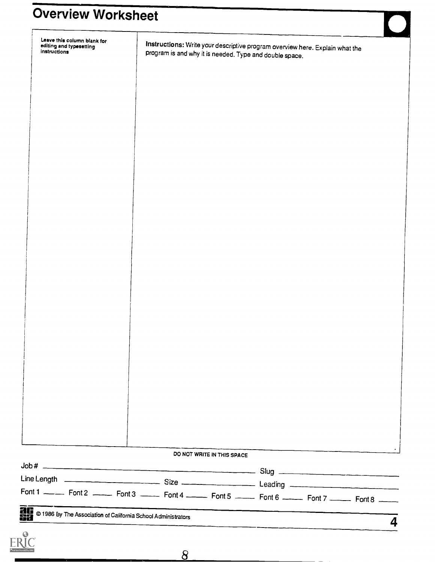### Overview Worksheet

| Leave this column blank for<br>editing and typesetting<br>instructions |                                                        | Instructions: Write your descriptive program overview here. Explain what the<br>program is and why it is needed. Type and double space. |   |
|------------------------------------------------------------------------|--------------------------------------------------------|-----------------------------------------------------------------------------------------------------------------------------------------|---|
|                                                                        |                                                        |                                                                                                                                         |   |
|                                                                        |                                                        |                                                                                                                                         |   |
|                                                                        |                                                        |                                                                                                                                         |   |
|                                                                        |                                                        |                                                                                                                                         |   |
|                                                                        |                                                        |                                                                                                                                         |   |
|                                                                        |                                                        |                                                                                                                                         |   |
|                                                                        |                                                        |                                                                                                                                         |   |
|                                                                        |                                                        |                                                                                                                                         |   |
|                                                                        |                                                        |                                                                                                                                         |   |
|                                                                        |                                                        |                                                                                                                                         |   |
|                                                                        |                                                        |                                                                                                                                         |   |
|                                                                        |                                                        |                                                                                                                                         |   |
|                                                                        |                                                        |                                                                                                                                         |   |
|                                                                        |                                                        |                                                                                                                                         |   |
|                                                                        |                                                        |                                                                                                                                         |   |
|                                                                        |                                                        |                                                                                                                                         |   |
|                                                                        |                                                        |                                                                                                                                         |   |
|                                                                        |                                                        |                                                                                                                                         |   |
|                                                                        |                                                        |                                                                                                                                         |   |
|                                                                        |                                                        |                                                                                                                                         |   |
|                                                                        |                                                        |                                                                                                                                         |   |
|                                                                        |                                                        |                                                                                                                                         |   |
|                                                                        |                                                        |                                                                                                                                         |   |
|                                                                        |                                                        |                                                                                                                                         |   |
|                                                                        | DO NOT WRITE IN THIS SPACE                             |                                                                                                                                         |   |
|                                                                        |                                                        |                                                                                                                                         |   |
|                                                                        |                                                        |                                                                                                                                         |   |
|                                                                        |                                                        | Font 1 ______ Font 2 ______ Font 3 ______ Font 4 ______ Font 5 ______ Font 6 ______ Font 7 ______ Font 8 _____                          |   |
|                                                                        | <b>ACCOUNTER SERVICE SERVICE SCHOOL Administrators</b> |                                                                                                                                         | 4 |
| ERIC<br>ERIC                                                           |                                                        |                                                                                                                                         |   |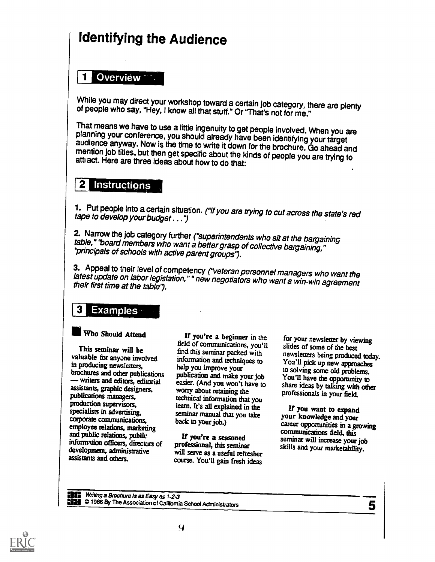### Identifying the Audience

#### Overview **Call**

While you may direct your workshop toward a certain job category, there are plenty of people who say, "Hey, I know all that stuff." Or "That's not for me."

That means we have to use a little ingenuity to get people involved. When you are planning your conference, you should already have been identifying your target audience anyway. Now is the time to write it down for the bro

#### **Instructions**

1. Put people into a certain situation. ("If you are trying to cut across the state's red tape to develop your budget . . .")

2. Narrow the job category further ("superintendents who sit at the bargaining table," 'board members who want a better grasp of collective bargaining," 'principals of schools with active parent groups").

3. Appeal to their level of competency ("veteran personnel managers who want the latest update on labor legislation," " new negotiators who want a win-win agreement their first time at the table").

#### **3 Examples**

#### Who Should Attend

This seminar will be valuable for anyone involved in producing newsletters, brochures and other publications writers and editors, editorial assistants, graphic designers, publications managers, production supervisors, specialists in advertising, corporate communications, employee relations, marketing and public relations, public information officers, directors of development, administrative assistants and others.

If you're a beginner in the field of communications, you'll information and techniques to help you improve your publication and make your job easier. (And you won't have to worry about retaining the technical information that you learn. It's all explained in the seminar manual that you take back to your job.)

If you're a seasoned professional, this seminar will serve as a useful refresher course. You'll gain fresh ideas

find this seminar packed with newsletters being produced today. for your newsletter by viewing slides of some of the best You'll pick up new approaches to solving some old problems. You'll have the opportunity to share ideas by talking with other professionals in your field.

> If you want to expand your knowledge and your career opportunities in a growing communications field, this seminar will increase your job skills and your marketability.

**all B** Writing a Brochure Is as Easy as 1-2-3 nra 0 1966 By The Association of California School Administrators



5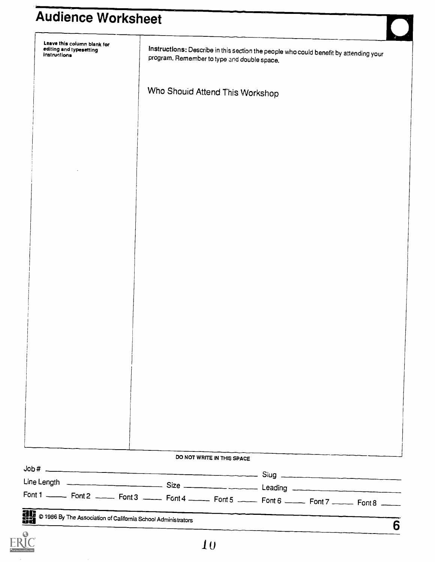### Audience Worksheet

| Leave this column blank for<br>editing and typesetting<br>instructions |                                                                                                                    | program. Remember to type and double space. |                            | Instructions: Describe in this section the people who could benefit by attending your |  |
|------------------------------------------------------------------------|--------------------------------------------------------------------------------------------------------------------|---------------------------------------------|----------------------------|---------------------------------------------------------------------------------------|--|
|                                                                        |                                                                                                                    | Who Shouid Attend This Workshop             |                            |                                                                                       |  |
|                                                                        |                                                                                                                    |                                             |                            |                                                                                       |  |
|                                                                        |                                                                                                                    |                                             |                            |                                                                                       |  |
|                                                                        |                                                                                                                    |                                             |                            |                                                                                       |  |
|                                                                        |                                                                                                                    |                                             |                            |                                                                                       |  |
|                                                                        |                                                                                                                    |                                             |                            |                                                                                       |  |
|                                                                        |                                                                                                                    |                                             |                            |                                                                                       |  |
|                                                                        |                                                                                                                    |                                             |                            |                                                                                       |  |
|                                                                        |                                                                                                                    |                                             |                            |                                                                                       |  |
|                                                                        |                                                                                                                    |                                             |                            |                                                                                       |  |
|                                                                        |                                                                                                                    |                                             |                            |                                                                                       |  |
|                                                                        |                                                                                                                    |                                             |                            |                                                                                       |  |
|                                                                        |                                                                                                                    |                                             |                            |                                                                                       |  |
|                                                                        |                                                                                                                    |                                             |                            |                                                                                       |  |
|                                                                        |                                                                                                                    |                                             |                            |                                                                                       |  |
|                                                                        |                                                                                                                    |                                             |                            |                                                                                       |  |
|                                                                        |                                                                                                                    |                                             |                            |                                                                                       |  |
|                                                                        |                                                                                                                    |                                             |                            |                                                                                       |  |
|                                                                        |                                                                                                                    |                                             |                            |                                                                                       |  |
|                                                                        |                                                                                                                    |                                             |                            |                                                                                       |  |
|                                                                        |                                                                                                                    |                                             |                            |                                                                                       |  |
|                                                                        |                                                                                                                    |                                             |                            |                                                                                       |  |
|                                                                        |                                                                                                                    |                                             |                            |                                                                                       |  |
|                                                                        |                                                                                                                    |                                             |                            |                                                                                       |  |
|                                                                        |                                                                                                                    |                                             |                            |                                                                                       |  |
|                                                                        |                                                                                                                    |                                             |                            |                                                                                       |  |
|                                                                        |                                                                                                                    |                                             |                            |                                                                                       |  |
|                                                                        |                                                                                                                    |                                             | DO NOT WRITE IN THIS SPACE |                                                                                       |  |
|                                                                        |                                                                                                                    |                                             |                            |                                                                                       |  |
|                                                                        | Font 1 ________ Font 2 _______ Font 3 ______ Font 4 _______ Font 5 ______ Font 6 ______ Font 7 ______ Font 8 _____ |                                             |                            |                                                                                       |  |
|                                                                        |                                                                                                                    |                                             |                            |                                                                                       |  |

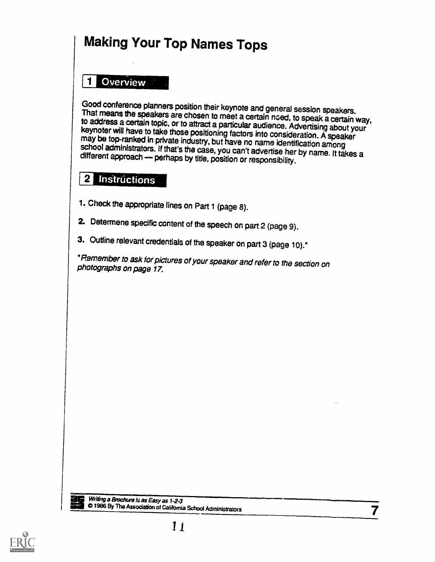### Making Your Top Names Tops

### El Overview

Good conference planners position their keynote and general session speakers.<br>That means the speakers are chosen to meet a certain need, to speak a certain way,<br>to address a certain topic, or to attract a particular audien

### 2 Instructions

- 1. Check the appropriate lines on Part 1 (page 8).
- 2. Determene specific content of the speech on part 2 (page 9).
- 3. Outline relevant credentials of the speaker on part 3 (page 10).<sup>\*</sup>

\*Remember to ask for pictures of your speaker and refer to the section on photographs on page 17.



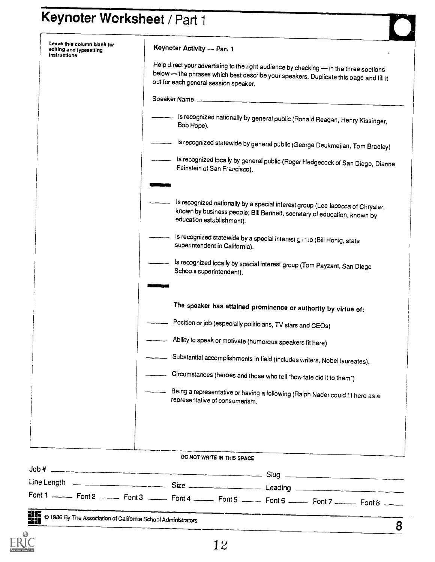# Keynoter Worksheet / Part 1

| Leave this column blank for<br>editing and typesetting<br>instructions | Keynoter Activity - Part 1                                                                                                                                                                                                                                                                                                                                                                                                        |
|------------------------------------------------------------------------|-----------------------------------------------------------------------------------------------------------------------------------------------------------------------------------------------------------------------------------------------------------------------------------------------------------------------------------------------------------------------------------------------------------------------------------|
|                                                                        | Help direct your advertising to the right audience by checking - in the three sections<br>below - the phrases which best describe your speakers. Duplicate this page and fill it<br>out for each general session speaker.                                                                                                                                                                                                         |
|                                                                        | Speaker Name                                                                                                                                                                                                                                                                                                                                                                                                                      |
|                                                                        | Is recognized nationally by general public (Ronald Reagan, Henry Kissinger,<br>Bob Hope).                                                                                                                                                                                                                                                                                                                                         |
|                                                                        | Is recognized statewide by general public (George Deukmejian, Tom Bradley)                                                                                                                                                                                                                                                                                                                                                        |
|                                                                        | Is recognized locally by general public (Roger Hedgecock of San Diego, Dianne<br>Feinstein of San Francisco).                                                                                                                                                                                                                                                                                                                     |
|                                                                        | Is recognized nationally by a special interest group (Lee Iacocca of Chrysler,<br>known by business people; Bill Bennett, secretary of education, known by<br>education establishment).                                                                                                                                                                                                                                           |
|                                                                        | Is recognized statewide by a special interast $\zeta\ll p$ (Bill Honig, state<br>superintendent in California).                                                                                                                                                                                                                                                                                                                   |
|                                                                        | Is recognized locally by special interest group (Tom Payzant, San Diego<br>Schools superintendent).                                                                                                                                                                                                                                                                                                                               |
|                                                                        |                                                                                                                                                                                                                                                                                                                                                                                                                                   |
|                                                                        | The speaker has attained prominence or authority by virtue of:                                                                                                                                                                                                                                                                                                                                                                    |
|                                                                        | Position or job (especially politicians, TV stars and CEOs)                                                                                                                                                                                                                                                                                                                                                                       |
|                                                                        | Ability to speak or motivate (humorous speakers fit here)                                                                                                                                                                                                                                                                                                                                                                         |
|                                                                        | Substantial accomplishments in field (includes vrriters, Nobel laureates).                                                                                                                                                                                                                                                                                                                                                        |
|                                                                        | Circumstances (heroes and those who tell "how fate did it to them")                                                                                                                                                                                                                                                                                                                                                               |
|                                                                        | Being a representative or having a following (Ralph Nader could fit here as a<br>representative of consumerism.                                                                                                                                                                                                                                                                                                                   |
|                                                                        |                                                                                                                                                                                                                                                                                                                                                                                                                                   |
|                                                                        |                                                                                                                                                                                                                                                                                                                                                                                                                                   |
|                                                                        | DO NOT WRITE IN THIS SPACE                                                                                                                                                                                                                                                                                                                                                                                                        |
|                                                                        | $\frac{1}{\sqrt{1-\frac{1}{\sqrt{1-\frac{1}{\sqrt{1-\frac{1}{\sqrt{1-\frac{1}{\sqrt{1-\frac{1}{\sqrt{1-\frac{1}{\sqrt{1-\frac{1}{\sqrt{1-\frac{1}{\sqrt{1-\frac{1}{\sqrt{1-\frac{1}{\sqrt{1-\frac{1}{\sqrt{1-\frac{1}{\sqrt{1-\frac{1}{\sqrt{1-\frac{1}{\sqrt{1-\frac{1}{\sqrt{1-\frac{1}{\sqrt{1-\frac{1}{\sqrt{1-\frac{1}{\sqrt{1-\frac{1}{\sqrt{1-\frac{1}{\sqrt{1-\frac{1}{\sqrt{1-\frac{1}{\sqrt{1-\frac{1}{\sqrt{1-\frac{1$ |
|                                                                        | Font 1 _________ Font 2 ________ Font 3 _______ Font 5 _______ Font 6 _______ Font 7 ________ Font 8 ______                                                                                                                                                                                                                                                                                                                       |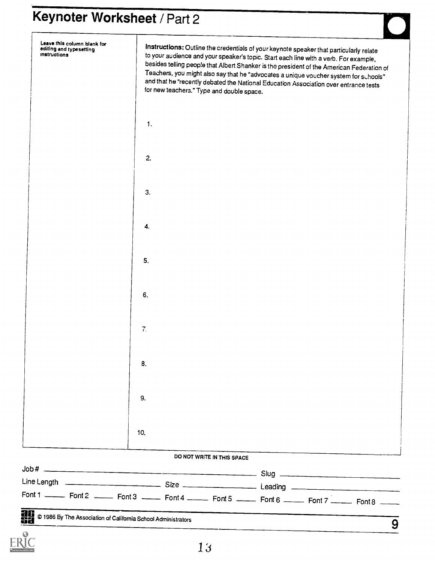# Keynoter Worksheet / Part 2

|                                                |                  | DO NOT WRITE IN THIS SPACE                                                                                                                                                                                                                                                                                                                                                                                                                                                                               |  |  |
|------------------------------------------------|------------------|----------------------------------------------------------------------------------------------------------------------------------------------------------------------------------------------------------------------------------------------------------------------------------------------------------------------------------------------------------------------------------------------------------------------------------------------------------------------------------------------------------|--|--|
|                                                | 10.              |                                                                                                                                                                                                                                                                                                                                                                                                                                                                                                          |  |  |
|                                                |                  |                                                                                                                                                                                                                                                                                                                                                                                                                                                                                                          |  |  |
|                                                | 9.               |                                                                                                                                                                                                                                                                                                                                                                                                                                                                                                          |  |  |
|                                                | 8.               |                                                                                                                                                                                                                                                                                                                                                                                                                                                                                                          |  |  |
|                                                | $\overline{7}$ . |                                                                                                                                                                                                                                                                                                                                                                                                                                                                                                          |  |  |
|                                                | 6.               |                                                                                                                                                                                                                                                                                                                                                                                                                                                                                                          |  |  |
|                                                | 5.               |                                                                                                                                                                                                                                                                                                                                                                                                                                                                                                          |  |  |
|                                                | 4.               |                                                                                                                                                                                                                                                                                                                                                                                                                                                                                                          |  |  |
|                                                | 3.               |                                                                                                                                                                                                                                                                                                                                                                                                                                                                                                          |  |  |
|                                                | 2.               |                                                                                                                                                                                                                                                                                                                                                                                                                                                                                                          |  |  |
|                                                | $\mathbf{1}$ .   |                                                                                                                                                                                                                                                                                                                                                                                                                                                                                                          |  |  |
| editing and typesetting<br><b>Instructions</b> |                  | Instructions: Outline the credentials of your keynote speaker that particularly relate<br>to your audience and your speaker's topic. Start each line with a verb. For example,<br>besides telling people that Albert Shanker is tho president of the American Federation of<br>Teachers, you might also say that he "advocates a unique voucher system for schools"<br>and that he "recently debated the National Education Association over entrance tests<br>for new teachers." Type and double space. |  |  |

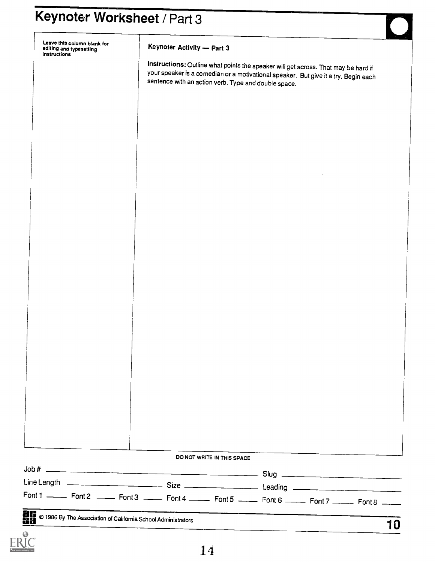Leave thls column blank for editing and typesetting instructions

#### Keynoter Activity - Part 3

Instructions: Outline what points the speaker will get across. That may be hard if your speaker is a comedian or a motivational speaker. But give it a try. Begin each sentence with an action verb. Type and double space.

| DO NOT WRITE IN THIS SPACE |                                                                                                                      |
|----------------------------|----------------------------------------------------------------------------------------------------------------------|
|                            |                                                                                                                      |
|                            |                                                                                                                      |
|                            | Font 1 ________ Font 2 _______ Font 3 _______ Font 4 _______ Font 5 ______ Font 6 ______ Font 7 _______ Font 8 _____ |

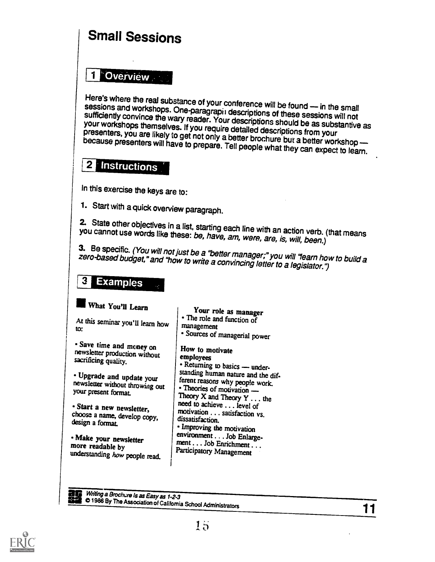### Small Sessions

#### **Overview** 1

Here's where the real substance of your conference will be found -- in the small<br>sessions and workshops. One-paragraphy descriptions of theses sessions and workshops. One-paragrapit descriptions of these sessions will not sufficiently convince the wary reader. Your descriptions should be as substantive as your workshops themselves. If you require detailed descrip because presenters will have to prepare. Tell people what they can expect to learn.

#### $\mathbf{2}$ **Instructions**

In this exercise the keys are to:

1. Start with a quick overview paragraph.

2. State other objectives in a list, starting each line with an action verb. (that means you cannot use words like these: be, have, am, were, are, is, will, been.)

3. Be specific. (You will not just be a "better manager;" you will "learn how to build a zero-based budget," and "how to write a convincing letter to a legislator.")

### **Examples**

#### What You'll Learn

At this seminar you'll learn how management

Save time and money on newsletter production without sacrificing quality.

• Upgrade and update your<br>newsletter without throwing out<br>"Theories of motivation" your present format.

Start a new newsletter, choose a name, develop copy, design a format.

Make your newsletter more readable by understanding how people read.

Your role as manager<br>• The role and function of management Sources of managerial power How to motivate employees - Returning to basics - under-

standing human nature and the different reasons why people work. Theory  $X$  and Theory  $Y$ ... the need to achieve .. . level of motivation . .. satisfaction vs. dissatisfaction. **Improving the motivation** environment . . . Job Enlargement . . . Job Enrichment . . . Participatory Management

Writing a Brochure is as Easy as 1-2-3 **comparisons** C 1986 By The Association of California School Administrators 11

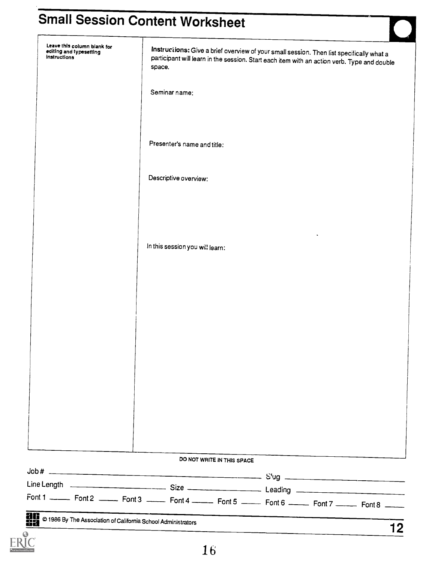### Small Session Content Worksheet

| Font 1 _________ Font 2 ________ Font 3 _______ Font 5 _______ Font 6 _______ Font 7 _______ Font 8 ______ |                                                                                                    |                            |  |                                                                                             |  |
|------------------------------------------------------------------------------------------------------------|----------------------------------------------------------------------------------------------------|----------------------------|--|---------------------------------------------------------------------------------------------|--|
|                                                                                                            |                                                                                                    |                            |  |                                                                                             |  |
|                                                                                                            |                                                                                                    | DO NOT WRITE IN THIS SPACE |  |                                                                                             |  |
|                                                                                                            |                                                                                                    |                            |  |                                                                                             |  |
|                                                                                                            |                                                                                                    |                            |  |                                                                                             |  |
|                                                                                                            |                                                                                                    |                            |  |                                                                                             |  |
|                                                                                                            |                                                                                                    |                            |  |                                                                                             |  |
|                                                                                                            |                                                                                                    |                            |  |                                                                                             |  |
|                                                                                                            |                                                                                                    |                            |  |                                                                                             |  |
|                                                                                                            |                                                                                                    |                            |  |                                                                                             |  |
|                                                                                                            |                                                                                                    |                            |  |                                                                                             |  |
|                                                                                                            |                                                                                                    |                            |  |                                                                                             |  |
|                                                                                                            | In this session you will learn:                                                                    |                            |  |                                                                                             |  |
|                                                                                                            |                                                                                                    |                            |  |                                                                                             |  |
|                                                                                                            |                                                                                                    |                            |  |                                                                                             |  |
|                                                                                                            | Descriptive overview:                                                                              |                            |  |                                                                                             |  |
|                                                                                                            |                                                                                                    |                            |  |                                                                                             |  |
|                                                                                                            | Presenter's name and title:                                                                        |                            |  |                                                                                             |  |
|                                                                                                            |                                                                                                    |                            |  |                                                                                             |  |
|                                                                                                            | Seminar name:                                                                                      |                            |  |                                                                                             |  |
| editing and typesetting<br>instructions                                                                    | Instructions: Give a brief overview of your small session. Then list specifically what a<br>space. |                            |  | participant will learn in the session. Start each item with an action verb. Type and double |  |

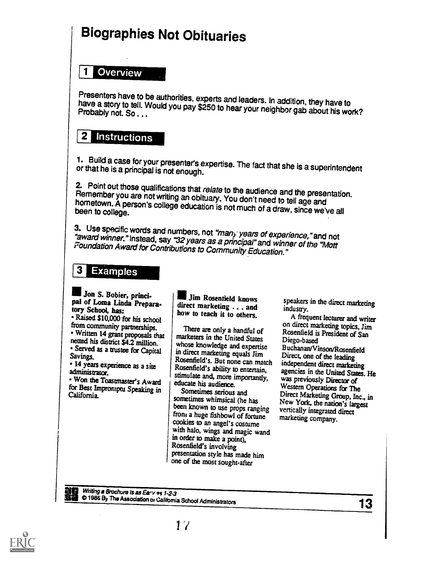### Biographies Not Obituaries

#### **Overview** 1

Presenters have to be authorities, experts and leaders. In addition, they have to have a story to tell. Would you pay \$250 to hear your neighbor gab about his work?<br>Probably not. So . . .

### 2 Instructions

1. Build a case for your presenter's expertise. The fact that she is a superintendent or that he is a principal is not enough.

2. Point out those qualifications that *relate* to the audience and the presentation.<br>Remember you are not writing an obituary. You don't need to tell age and<br>hometown. A person's college education is not much of a draw, s

3. Use specific words and numbers, not "many years of experience," and not "award winner." Instead, say "32 years as a principal" and winner of the "Mott<br>Foundation Award for Contributions to Community Education."

#### **3 Examples**

IIJon S. Dobler, principal of Loma Linda Preparatory School, has: Raised \$10,000 for his school from community partnerships. • Written 14 grant proposals that netted his district \$4.2 million.

• Served as a trustee for Capital Savings, • 14 years experience as a site

administrator. Won the Toastmaster's Award

for Best Impromptu Speaking in<br>California.

Writing a Brochure Is as Eary 95 1-2-3

I Jim Rosenfield knows direct marketing . . . and how to teach it to others.

There are only a handful of marketers in the United States whose knowledge and expertise in direct marketing equals Jim Rosenfield's. But none can match Rosenfield's ability to entertain, stimulate and, more importantly, educate his audience.

sometimes whimsical (he has been known to use props ranging from a huge fishbowl of fortune cookies to an angel's costume with halo, wings and magic wand in order to make a point), Rosenfield's involving presentation style has made him one of the most sought-after

speakers in the direct marketing industry.

Sometimes serious and Direct Marketing Group, Inc., in A frequent lecturer and writer on direct marketing topics, Jim Rosenfield is President of San Diego-based Buchanan/Vinson/Rosenfield Direct, one of the leading independent direct marketing agencies in the United States. He was previously Director of Western Operations for The New York, the nation's largest vertically integrated direct marketing company.

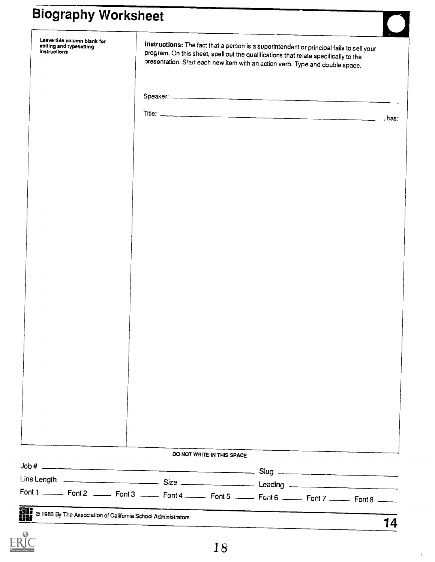### Biography Worksheet

| Leave this column blank for<br>editing and typesetting<br>instructions                                         |  |                            | Instructions: The fact that a person is a superintendent or principal fails to sell your<br>program. On this sheet, spell out the qualifications that relate specifically to the<br>presentation. Start each new item with an action verb. Type and double space. |  |
|----------------------------------------------------------------------------------------------------------------|--|----------------------------|-------------------------------------------------------------------------------------------------------------------------------------------------------------------------------------------------------------------------------------------------------------------|--|
|                                                                                                                |  |                            |                                                                                                                                                                                                                                                                   |  |
|                                                                                                                |  |                            |                                                                                                                                                                                                                                                                   |  |
|                                                                                                                |  |                            |                                                                                                                                                                                                                                                                   |  |
|                                                                                                                |  |                            |                                                                                                                                                                                                                                                                   |  |
|                                                                                                                |  |                            |                                                                                                                                                                                                                                                                   |  |
|                                                                                                                |  |                            |                                                                                                                                                                                                                                                                   |  |
|                                                                                                                |  |                            |                                                                                                                                                                                                                                                                   |  |
|                                                                                                                |  |                            |                                                                                                                                                                                                                                                                   |  |
|                                                                                                                |  |                            |                                                                                                                                                                                                                                                                   |  |
|                                                                                                                |  |                            |                                                                                                                                                                                                                                                                   |  |
|                                                                                                                |  |                            |                                                                                                                                                                                                                                                                   |  |
|                                                                                                                |  |                            |                                                                                                                                                                                                                                                                   |  |
|                                                                                                                |  |                            |                                                                                                                                                                                                                                                                   |  |
|                                                                                                                |  |                            |                                                                                                                                                                                                                                                                   |  |
|                                                                                                                |  |                            |                                                                                                                                                                                                                                                                   |  |
|                                                                                                                |  |                            |                                                                                                                                                                                                                                                                   |  |
|                                                                                                                |  | DO NOT WRITE IN THIS SPACE |                                                                                                                                                                                                                                                                   |  |
|                                                                                                                |  |                            |                                                                                                                                                                                                                                                                   |  |
|                                                                                                                |  |                            |                                                                                                                                                                                                                                                                   |  |
| Font 1 ______ Font 2 ______ Font 3 ______ Font 4 _______ Font 5 ______ Font 6 ______ Font 7 ______ Font 8 ____ |  |                            |                                                                                                                                                                                                                                                                   |  |

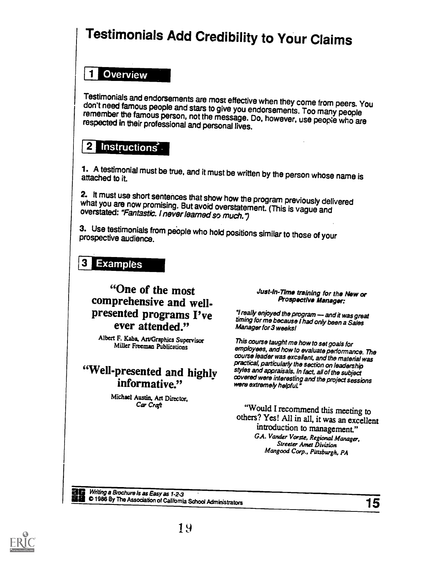### Testimonials Add Credibility to Your Claims

#### El Overview

Testimonials and endorsements are most effective when they come from peers. You don't need famous people and stars to give you endorsements. Too many people remember the famous person, not the message. Do, however, use peo

### $2$  instructions

1.A testimonial must be true, and it must be written by the person whose name is<br>attached to it.

2. It must use short sentences that show how the program previously delivered what you are now promising. But avoid overstatement. (This is vague and overstated: "Fantastic. I never learned so much.")

3. Use testimonials from people who hold positions similar to those of your prospective audience.

#### **3 Examples**

#### "One of the most comprehensive and wellpresented programs I've ever attended." Manager for 3 weeks!

Albert F. Kaba, An/Graphics Supervisor Miller Freeman Publications

# informative."

Michael Austin, Art Director, Car Craft

#### Just-In-Time training for the New or Prospective Manager:

"I really enjoyed the program - and it was great timing for me because I had only been a Sales

"Well-presented and highly styles and appraisals. In fact, all of the subject<br>informative." and the project session and the project session informative." This course taught me howto set goals for employees, and how to evaluate performance. The practical, particularly the section on leadership covered were interesting and the project sessions

> "Would I recommend this meeting to others? Yes! All in all, it was an excellent introduction to management." GA. Vander Vorste, Regional Manager,<br>Streeter Amet Division Mangood Corp., Pittsburgh, PA

Writing a Brochure is as Easy as 1-2-3  $\bullet$  1986 By The Association of California School Administrators 15

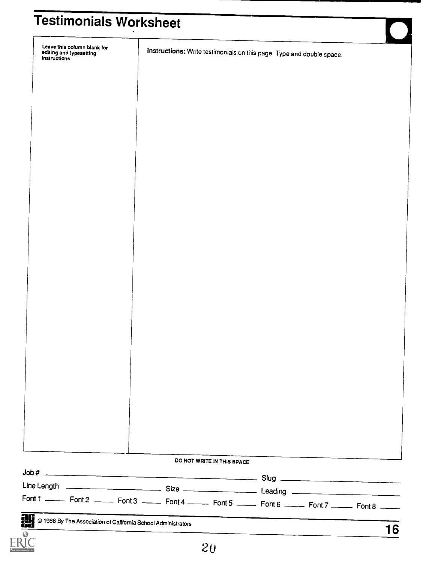| Leave this column blank for<br>editing and typesetting                                                     | Instructions: Write testimonials on this page Type and double space. |  |  |
|------------------------------------------------------------------------------------------------------------|----------------------------------------------------------------------|--|--|
|                                                                                                            |                                                                      |  |  |
|                                                                                                            |                                                                      |  |  |
|                                                                                                            |                                                                      |  |  |
|                                                                                                            |                                                                      |  |  |
|                                                                                                            |                                                                      |  |  |
|                                                                                                            |                                                                      |  |  |
|                                                                                                            |                                                                      |  |  |
|                                                                                                            |                                                                      |  |  |
|                                                                                                            |                                                                      |  |  |
|                                                                                                            |                                                                      |  |  |
|                                                                                                            |                                                                      |  |  |
|                                                                                                            |                                                                      |  |  |
|                                                                                                            |                                                                      |  |  |
|                                                                                                            |                                                                      |  |  |
|                                                                                                            |                                                                      |  |  |
|                                                                                                            |                                                                      |  |  |
|                                                                                                            |                                                                      |  |  |
|                                                                                                            |                                                                      |  |  |
|                                                                                                            |                                                                      |  |  |
|                                                                                                            |                                                                      |  |  |
|                                                                                                            |                                                                      |  |  |
|                                                                                                            |                                                                      |  |  |
|                                                                                                            |                                                                      |  |  |
|                                                                                                            |                                                                      |  |  |
|                                                                                                            |                                                                      |  |  |
|                                                                                                            |                                                                      |  |  |
|                                                                                                            |                                                                      |  |  |
|                                                                                                            |                                                                      |  |  |
|                                                                                                            | DO NOT WRITE IN THIS SPACE                                           |  |  |
|                                                                                                            |                                                                      |  |  |
|                                                                                                            |                                                                      |  |  |
| Font 1 _________ Font 2 ________ Font 3 _______ Font 5 _______ Font 6 _______ Font 7 _______ Font 8 ______ |                                                                      |  |  |

20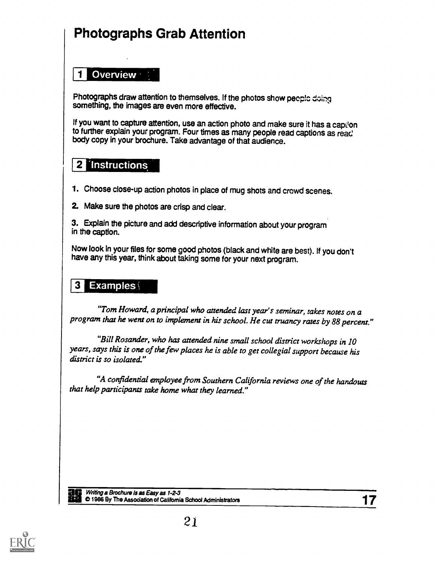### Photographs Grab Attention

#### 1 Overview

Photographs draw attention to themselves. If the photos show peeple doing something, the images are even more effective.

If you want to capture attention, use an action photo and make sure it has a caption to further explain your program. Four times as many people read captions as read body copy in your brochure. Take advantage of that audience.

### 2 Instructions

- 1. Choose close-up action photos in place of mug shots and crowd scenes.
- 2. Make sure the photos are crisp and clear.
- 3. Explain the picture and add descriptive information about your program in the caption.

Now look in your files for some good photos (black and white are best). If you don't have any this year, think about taking some for your next program.

#### 3 Examples $\langle$

"Tom Howard, a principal who attended last year's seminar, takes notes on a program that he went on to implement in his school. He cut truancy rates by 88 percent."

"Bill Rosander, who has attended nine small school district workshops in 10 years, says this is one of the few places he is able to get collegial support because his district is so isolated."

"A confidential employee from Southern California reviews one of the handouts that help participants take home what they learned."

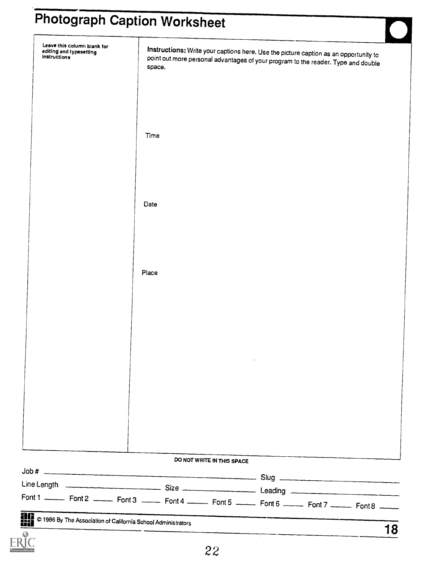# Photograph Caption Worksheet

|        | DO NOT WRITE IN THIS SPACE                                                                                                                                                |  |  |
|--------|---------------------------------------------------------------------------------------------------------------------------------------------------------------------------|--|--|
|        |                                                                                                                                                                           |  |  |
|        |                                                                                                                                                                           |  |  |
|        |                                                                                                                                                                           |  |  |
|        |                                                                                                                                                                           |  |  |
|        |                                                                                                                                                                           |  |  |
|        |                                                                                                                                                                           |  |  |
|        |                                                                                                                                                                           |  |  |
|        |                                                                                                                                                                           |  |  |
|        |                                                                                                                                                                           |  |  |
|        |                                                                                                                                                                           |  |  |
|        |                                                                                                                                                                           |  |  |
| Place  |                                                                                                                                                                           |  |  |
|        |                                                                                                                                                                           |  |  |
|        |                                                                                                                                                                           |  |  |
|        |                                                                                                                                                                           |  |  |
|        |                                                                                                                                                                           |  |  |
| Date   |                                                                                                                                                                           |  |  |
|        |                                                                                                                                                                           |  |  |
|        |                                                                                                                                                                           |  |  |
|        |                                                                                                                                                                           |  |  |
|        |                                                                                                                                                                           |  |  |
| Time   |                                                                                                                                                                           |  |  |
|        |                                                                                                                                                                           |  |  |
|        |                                                                                                                                                                           |  |  |
|        |                                                                                                                                                                           |  |  |
|        |                                                                                                                                                                           |  |  |
| space. | Instructions: Write your captions here. Use the picture caption as an opportunity to<br>point out more personal advantages of your program to the reader. Type and double |  |  |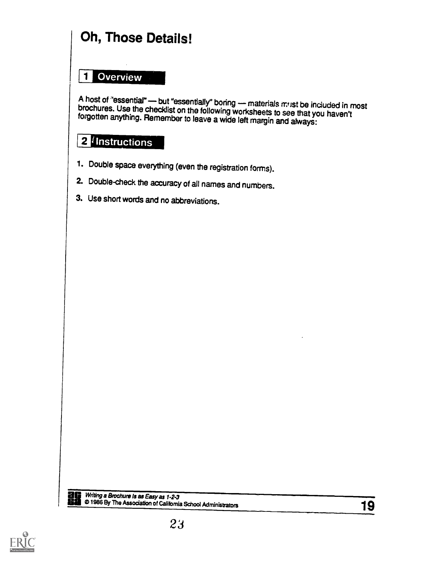### Oh, Those Details!

### El Overview

A host of "essential" — but "essentially" boring — materials must be included in most brochures. Use the checklist on the following worksheets to see that you haven't forgotten anything. Remember to leave a wide left margi

### 2<sup>l</sup>instructions

- 1. Double space everything (even the registration forms).
- 2. Double-check the accuracy of all names and numbers.
- 3. Use short words and no abbreviations.



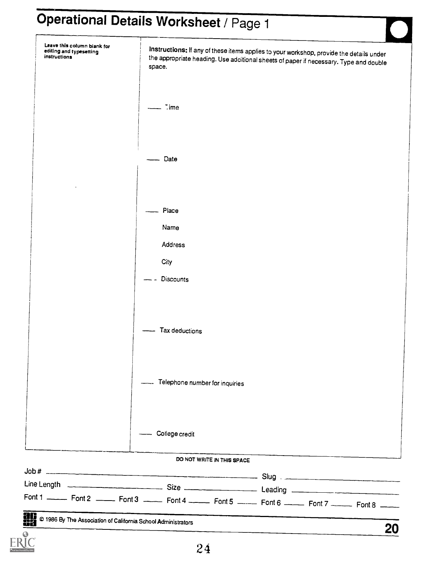| Leave this column blank for<br>editing and typesetting<br>instructions | space.                           | Instructions: If any of these items applies to your workshop, provide the details under<br>the appropriate heading. Use additional sheets of paper if necessary. Type and double |  |
|------------------------------------------------------------------------|----------------------------------|----------------------------------------------------------------------------------------------------------------------------------------------------------------------------------|--|
|                                                                        | $7$ ime                          |                                                                                                                                                                                  |  |
|                                                                        | Date                             |                                                                                                                                                                                  |  |
|                                                                        |                                  |                                                                                                                                                                                  |  |
|                                                                        | Place                            |                                                                                                                                                                                  |  |
|                                                                        | Name                             |                                                                                                                                                                                  |  |
|                                                                        | Address                          |                                                                                                                                                                                  |  |
|                                                                        | City                             |                                                                                                                                                                                  |  |
|                                                                        | -- Discounts                     |                                                                                                                                                                                  |  |
|                                                                        |                                  |                                                                                                                                                                                  |  |
|                                                                        | - Tax deductions                 |                                                                                                                                                                                  |  |
|                                                                        | - Telephone number for inquiries |                                                                                                                                                                                  |  |
|                                                                        | -- College credit                |                                                                                                                                                                                  |  |
|                                                                        | DO NOT WRITE IN THIS SPACE       |                                                                                                                                                                                  |  |
|                                                                        |                                  |                                                                                                                                                                                  |  |
|                                                                        |                                  | Font 1 _________ Font 2 ________ Font 3 ________ Font 5 ________ Font 6 ________ Font 7 ________ Font 8 ______                                                                   |  |
|                                                                        |                                  |                                                                                                                                                                                  |  |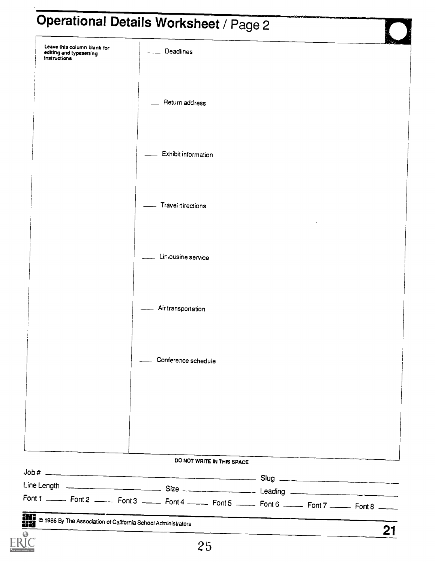| Return address<br>Exhibit information<br>Travel directions<br>Liniousine service<br>Air transportation<br>Conference schedule<br>DO NOT WRITE IN THIS SPACE | Leave this column blank for<br>editing and typesetting<br><i>instructions</i> | Deadlines<br>$\overline{\phantom{a}}$ |  | 原の |
|-------------------------------------------------------------------------------------------------------------------------------------------------------------|-------------------------------------------------------------------------------|---------------------------------------|--|----|
|                                                                                                                                                             |                                                                               |                                       |  |    |
|                                                                                                                                                             |                                                                               |                                       |  |    |
|                                                                                                                                                             |                                                                               |                                       |  |    |
|                                                                                                                                                             |                                                                               |                                       |  |    |
|                                                                                                                                                             |                                                                               |                                       |  |    |
|                                                                                                                                                             |                                                                               |                                       |  |    |
|                                                                                                                                                             |                                                                               |                                       |  |    |
|                                                                                                                                                             |                                                                               |                                       |  |    |
|                                                                                                                                                             |                                                                               |                                       |  |    |
|                                                                                                                                                             |                                                                               |                                       |  |    |
| Font 1 ______ Font 2 ______ Font 3 ______ Font 4 ______ Font 5 ______ Font 6 ______ Font 7 ______ Font 8 _____                                              |                                                                               |                                       |  |    |
| © 1986 By The Association of California School Administrators                                                                                               | ag<br>88                                                                      |                                       |  | 21 |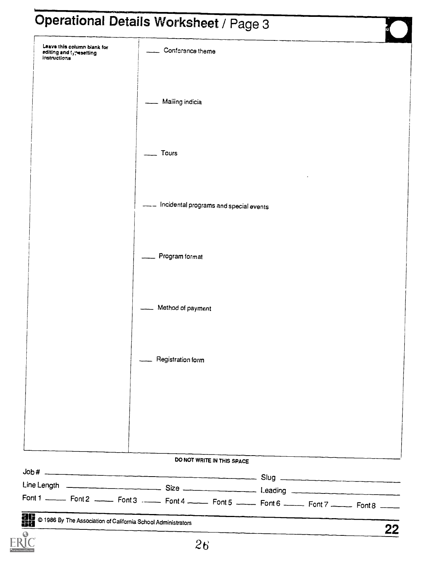| Leave this column blank for<br>editing and typesetting<br>instructions                                     | Conference theme                       |  |
|------------------------------------------------------------------------------------------------------------|----------------------------------------|--|
|                                                                                                            |                                        |  |
|                                                                                                            | Mailing indicia                        |  |
|                                                                                                            |                                        |  |
|                                                                                                            |                                        |  |
|                                                                                                            | Tours                                  |  |
|                                                                                                            |                                        |  |
|                                                                                                            |                                        |  |
|                                                                                                            | Incidental programs and special events |  |
|                                                                                                            |                                        |  |
|                                                                                                            | Program format                         |  |
|                                                                                                            |                                        |  |
|                                                                                                            |                                        |  |
|                                                                                                            | Method of payment                      |  |
|                                                                                                            |                                        |  |
|                                                                                                            |                                        |  |
|                                                                                                            | Registration form                      |  |
|                                                                                                            |                                        |  |
|                                                                                                            |                                        |  |
|                                                                                                            |                                        |  |
|                                                                                                            |                                        |  |
|                                                                                                            | DO NOT WRITE IN THIS SPACE             |  |
|                                                                                                            |                                        |  |
|                                                                                                            |                                        |  |
| Font 1 _________ Font 2 ________ Font 3 ________ Font 5 _______ Font 6 _______ Font 7 _______ Font 8 _____ |                                        |  |

ERIC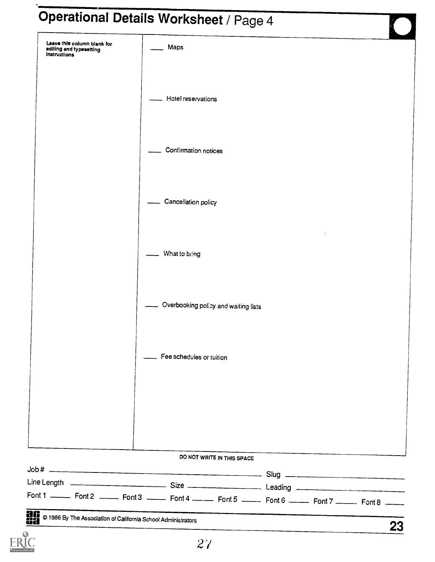| Leave this column blank for<br>editing and typesetting<br><b>instructions</b> | Maps                                                                                                       |  |  |
|-------------------------------------------------------------------------------|------------------------------------------------------------------------------------------------------------|--|--|
|                                                                               |                                                                                                            |  |  |
|                                                                               | Hotel reservations                                                                                         |  |  |
|                                                                               |                                                                                                            |  |  |
|                                                                               | Confirmation notices                                                                                       |  |  |
|                                                                               |                                                                                                            |  |  |
|                                                                               |                                                                                                            |  |  |
|                                                                               | Cancellation policy                                                                                        |  |  |
|                                                                               |                                                                                                            |  |  |
|                                                                               | What to bring                                                                                              |  |  |
|                                                                               |                                                                                                            |  |  |
|                                                                               | Overbooking policy and waiting lists                                                                       |  |  |
|                                                                               |                                                                                                            |  |  |
|                                                                               | __ Fee schedules or tuition                                                                                |  |  |
|                                                                               |                                                                                                            |  |  |
|                                                                               |                                                                                                            |  |  |
|                                                                               |                                                                                                            |  |  |
|                                                                               |                                                                                                            |  |  |
|                                                                               | DO NOT WRITE IN THIS SPACE                                                                                 |  |  |
|                                                                               |                                                                                                            |  |  |
|                                                                               |                                                                                                            |  |  |
|                                                                               | Font 1 _________ Font 2 ________ Font 3 _______ Font 5 ________ Font 6 _______ Font 7 _______ Font 8 _____ |  |  |

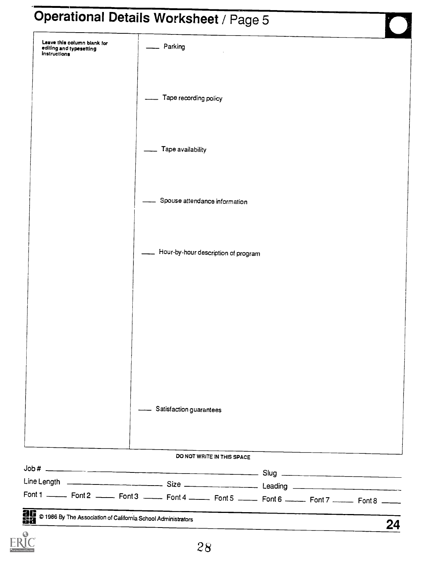|                                                                        | Operational Details Worksheet / Page 5 |  |
|------------------------------------------------------------------------|----------------------------------------|--|
| Leave this column blank for<br>editing and typesetting<br>instructions | Parking                                |  |
|                                                                        | Tape recording policy                  |  |
|                                                                        | Tape availability                      |  |
|                                                                        | Spouse attendance information          |  |
|                                                                        | Hour-by-hour description of program    |  |
|                                                                        |                                        |  |
|                                                                        |                                        |  |
|                                                                        |                                        |  |
|                                                                        | Satisfaction guarantees                |  |

#### DO NOT WRITE IN THIS SPACE

| Font 1 _________ Font 2 ________ Font 3 _______ Font 5 _______ Font 6 _______ Font 7 _______ Font 8 _____ |    |
|-----------------------------------------------------------------------------------------------------------|----|
| 0 1986 By The Association of California School Administrators                                             |    |
|                                                                                                           | 2Δ |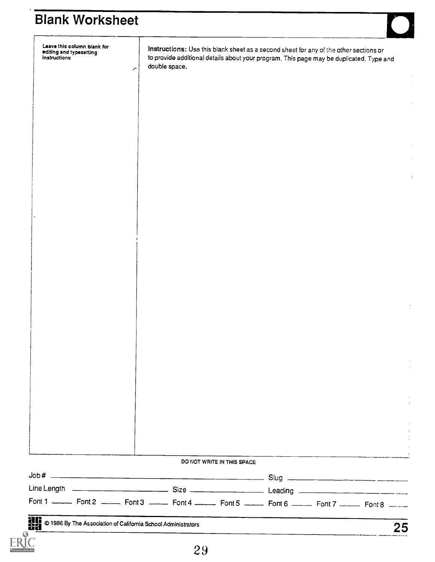| Leave this column blank for<br>editing and typesetting<br><b>instructions</b>                                 | double space.<br>╭ | Instructions: Use this blank sheet as a second sheet for any of the other sections or<br>to provide additional details about your program. This page may be duplicated. Type and |  |            |
|---------------------------------------------------------------------------------------------------------------|--------------------|----------------------------------------------------------------------------------------------------------------------------------------------------------------------------------|--|------------|
|                                                                                                               |                    |                                                                                                                                                                                  |  |            |
|                                                                                                               |                    |                                                                                                                                                                                  |  |            |
|                                                                                                               |                    |                                                                                                                                                                                  |  |            |
|                                                                                                               |                    |                                                                                                                                                                                  |  |            |
|                                                                                                               |                    |                                                                                                                                                                                  |  |            |
|                                                                                                               |                    |                                                                                                                                                                                  |  |            |
|                                                                                                               |                    |                                                                                                                                                                                  |  | $\ddot{i}$ |
|                                                                                                               |                    |                                                                                                                                                                                  |  |            |
|                                                                                                               |                    |                                                                                                                                                                                  |  |            |
|                                                                                                               |                    |                                                                                                                                                                                  |  |            |
|                                                                                                               |                    |                                                                                                                                                                                  |  |            |
|                                                                                                               |                    |                                                                                                                                                                                  |  |            |
|                                                                                                               |                    |                                                                                                                                                                                  |  |            |
|                                                                                                               |                    |                                                                                                                                                                                  |  |            |
|                                                                                                               |                    |                                                                                                                                                                                  |  |            |
|                                                                                                               |                    |                                                                                                                                                                                  |  |            |
|                                                                                                               |                    |                                                                                                                                                                                  |  |            |
|                                                                                                               |                    |                                                                                                                                                                                  |  |            |
|                                                                                                               |                    |                                                                                                                                                                                  |  |            |
|                                                                                                               |                    |                                                                                                                                                                                  |  |            |
|                                                                                                               |                    |                                                                                                                                                                                  |  |            |
|                                                                                                               |                    |                                                                                                                                                                                  |  |            |
|                                                                                                               |                    |                                                                                                                                                                                  |  |            |
|                                                                                                               |                    |                                                                                                                                                                                  |  |            |
|                                                                                                               |                    | DO NOT WRITE IN THIS SPACE                                                                                                                                                       |  |            |
|                                                                                                               |                    |                                                                                                                                                                                  |  |            |
|                                                                                                               |                    |                                                                                                                                                                                  |  |            |
| Font 1 ______ Font 2 ______ Font 3 ______ Font 4 ______ Font 5 ______ Font 6 ______ Font 7 ______ Font 8 ____ |                    |                                                                                                                                                                                  |  |            |